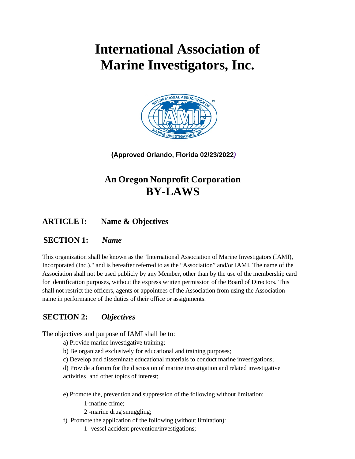# **International Association of Marine Investigators, Inc.**



**(Approved Orlando, Florida 02/23/2022***)*

# **An Oregon Nonprofit Corporation BY-LAWS**

**ARTICLE I: Name & Objectives**

# **SECTION 1:** *Name*

This organization shall be known as the "International Association of Marine Investigators (IAMI), Incorporated (Inc.)." and is hereafter referred to as the "Association" and/or IAMI. The name of the Association shall not be used publicly by any Member, other than by the use of the membership card for identification purposes, without the express written permission of the Board of Directors. This shall not restrict the officers, agents or appointees of the Association from using the Association name in performance of the duties of their office or assignments.

# **SECTION 2:** *Objectives*

The objectives and purpose of IAMI shall be to:

a) Provide marine investigative training;

- b) Be organized exclusively for educational and training purposes;
- c) Develop and disseminate educational materials to conduct marine investigations;

d) Provide a forum for the discussion of marine investigation and related investigative activities and other topics of interest;

e) Promote the, prevention and suppression of the following without limitation:

- 1-marine crime;
- 2 -marine drug smuggling;
- f) Promote the application of the following (without limitation):
	- 1- vessel accident prevention/investigations;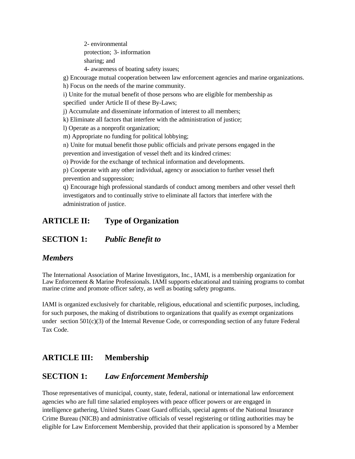2- environmental protection; 3- information sharing; and 4- awareness of boating safety issues;

g) Encourage mutual cooperation between law enforcement agencies and marine organizations.

h) Focus on the needs of the marine community.

i) Unite for the mutual benefit of those persons who are eligible for membership as specified under Article II of these By-Laws;

j) Accumulate and disseminate information of interest to all members;

k) Eliminate all factors that interfere with the administration of justice;

l) Operate as a nonprofit organization;

m) Appropriate no funding for political lobbying;

n) Unite for mutual benefit those public officials and private persons engaged in the

prevention and investigation of vessel theft and its kindred crimes:

o) Provide for the exchange of technical information and developments.

p) Cooperate with any other individual, agency or association to further vessel theft prevention and suppression;

q) Encourage high professional standards of conduct among members and other vessel theft investigators and to continually strive to eliminate all factors that interfere with the administration of justice.

#### **ARTICLE II: Type of Organization**

#### **SECTION 1:** *Public Benefit to*

#### *Members*

The International Association of Marine Investigators, Inc., IAMI, is a membership organization for Law Enforcement & Marine Professionals. IAMI supports educational and training programs to combat marine crime and promote officer safety, as well as boating safety programs.

IAMI is organized exclusively for charitable, religious, educational and scientific purposes, including, for such purposes, the making of distributions to organizations that qualify as exempt organizations under section  $501(c)(3)$  of the Internal Revenue Code, or corresponding section of any future Federal Tax Code.

#### **ARTICLE III: Membership**

#### **SECTION 1:** *Law Enforcement Membership*

Those representatives of municipal, county, state, federal, national or international law enforcement agencies who are full time salaried employees with peace officer powers or are engaged in intelligence gathering, United States Coast Guard officials, special agents of the National Insurance Crime Bureau (NICB) and administrative officials of vessel registering or titling authorities may be eligible for Law Enforcement Membership, provided that their application is sponsored by a Member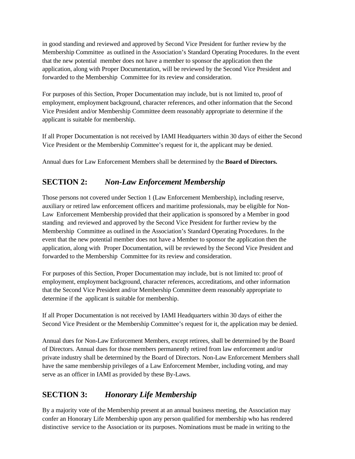in good standing and reviewed and approved by Second Vice President for further review by the Membership Committee as outlined in the Association's Standard Operating Procedures. In the event that the new potential member does not have a member to sponsor the application then the application, along with Proper Documentation, will be reviewed by the Second Vice President and forwarded to the Membership Committee for its review and consideration.

For purposes of this Section, Proper Documentation may include, but is not limited to, proof of employment, employment background, character references, and other information that the Second Vice President and/or Membership Committee deem reasonably appropriate to determine if the applicant is suitable for membership.

If all Proper Documentation is not received by IAMI Headquarters within 30 days of either the Second Vice President or the Membership Committee's request for it, the applicant may be denied.

Annual dues for Law Enforcement Members shall be determined by the **Board of Directors.**

# **SECTION 2:** *Non-Law Enforcement Membership*

Those persons not covered under Section 1 (Law Enforcement Membership), including reserve, auxiliary or retired law enforcement officers and maritime professionals, may be eligible for Non-Law Enforcement Membership provided that their application is sponsored by a Member in good standing and reviewed and approved by the Second Vice President for further review by the Membership Committee as outlined in the Association's Standard Operating Procedures. In the event that the new potential member does not have a Member to sponsor the application then the application, along with Proper Documentation, will be reviewed by the Second Vice President and forwarded to the Membership Committee for its review and consideration.

For purposes of this Section, Proper Documentation may include, but is not limited to: proof of employment, employment background, character references, accreditations, and other information that the Second Vice President and/or Membership Committee deem reasonably appropriate to determine if the applicant is suitable for membership.

If all Proper Documentation is not received by IAMI Headquarters within 30 days of either the Second Vice President or the Membership Committee's request for it, the application may be denied.

Annual dues for Non-Law Enforcement Members, except retirees, shall be determined by the Board of Directors. Annual dues for those members permanently retired from law enforcement and/or private industry shall be determined by the Board of Directors. Non-Law Enforcement Members shall have the same membership privileges of a Law Enforcement Member, including voting, and may serve as an officer in IAMI as provided by these By-Laws.

# **SECTION 3:** *Honorary Life Membership*

By a majority vote of the Membership present at an annual business meeting, the Association may confer an Honorary Life Membership upon any person qualified for membership who has rendered distinctive service to the Association or its purposes. Nominations must be made in writing to the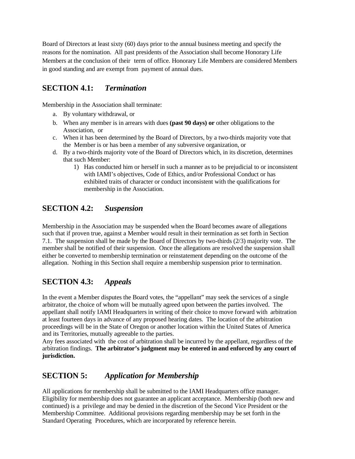Board of Directors at least sixty (60) days prior to the annual business meeting and specify the reasons for the nomination. All past presidents of the Association shall become Honorary Life Members at the conclusion of their term of office. Honorary Life Members are considered Members in good standing and are exempt from payment of annual dues.

#### **SECTION 4.1:** *Termination*

Membership in the Association shall terminate:

- a. By voluntary withdrawal, or
- b. When any member is in arrears with dues **(past 90 days) or** other obligations to the Association, or
- c. When it has been determined by the Board of Directors, by a two-thirds majority vote that the Member is or has been a member of any subversive organization, or
- d. By a two-thirds majority vote of the Board of Directors which, in its discretion, determines that such Member:
	- 1) Has conducted him or herself in such a manner as to be prejudicial to or inconsistent with IAMI's objectives, Code of Ethics, and/or Professional Conduct or has exhibited traits of character or conduct inconsistent with the qualifications for membership in the Association.

# **SECTION 4.2:** *Suspension*

Membership in the Association may be suspended when the Board becomes aware of allegations such that if proven true, against a Member would result in their termination as set forth in Section 7.1. The suspension shall be made by the Board of Directors by two-thirds (2/3) majority vote. The member shall be notified of their suspension. Once the allegations are resolved the suspension shall either be converted to membership termination or reinstatement depending on the outcome of the allegation. Nothing in this Section shall require a membership suspension prior to termination.

# **SECTION 4.3:** *Appeals*

In the event a Member disputes the Board votes, the "appellant" may seek the services of a single arbitrator, the choice of whom will be mutually agreed upon between the parties involved. The appellant shall notify IAMI Headquarters in writing of their choice to move forward with arbitration at least fourteen days in advance of any proposed hearing dates. The location of the arbitration proceedings will be in the State of Oregon or another location within the United States of America and its Territories, mutually agreeable to the parties.

Any fees associated with the cost of arbitration shall be incurred by the appellant, regardless of the arbitration findings. **The arbitrator's judgment may be entered in and enforced by any court of jurisdiction.**

# **SECTION 5:** *Application for Membership*

All applications for membership shall be submitted to the IAMI Headquarters office manager. Eligibility for membership does not guarantee an applicant acceptance. Membership (both new and continued) is a privilege and may be denied in the discretion of the Second Vice President or the Membership Committee. Additional provisions regarding membership may be set forth in the Standard Operating Procedures, which are incorporated by reference herein.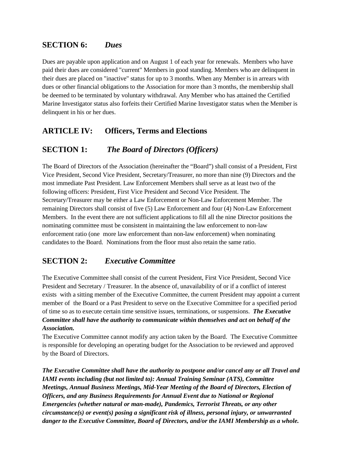#### **SECTION 6:** *Dues*

Dues are payable upon application and on August 1 of each year for renewals. Members who have paid their dues are considered "current" Members in good standing. Members who are delinquent in their dues are placed on "inactive" status for up to 3 months. When any Member is in arrears with dues or other financial obligations to the Association for more than 3 months, the membership shall be deemed to be terminated by voluntary withdrawal. Any Member who has attained the Certified Marine Investigator status also forfeits their Certified Marine Investigator status when the Member is delinquent in his or her dues.

# **ARTICLE IV: Officers, Terms and Elections**

#### **SECTION 1:** *The Board of Directors (Officers)*

The Board of Directors of the Association (hereinafter the "Board") shall consist of a President, First Vice President, Second Vice President, Secretary/Treasurer, no more than nine (9) Directors and the most immediate Past President. Law Enforcement Members shall serve as at least two of the following officers: President, First Vice President and Second Vice President. The Secretary/Treasurer may be either a Law Enforcement or Non-Law Enforcement Member. The remaining Directors shall consist of five (5) Law Enforcement and four (4) Non-Law Enforcement Members. In the event there are not sufficient applications to fill all the nine Director positions the nominating committee must be consistent in maintaining the law enforcement to non-law enforcement ratio (one more law enforcement than non-law enforcement) when nominating candidates to the Board. Nominations from the floor must also retain the same ratio.

#### **SECTION 2:** *Executive Committee*

The Executive Committee shall consist of the current President, First Vice President, Second Vice President and Secretary / Treasurer. In the absence of, unavailability of or if a conflict of interest exists with a sitting member of the Executive Committee, the current President may appoint a current member of the Board or a Past President to serve on the Executive Committee for a specified period of time so as to execute certain time sensitive issues, terminations, or suspensions. *The Executive Committee shall have the authority to communicate within themselves and act on behalf of the Association.* 

The Executive Committee cannot modify any action taken by the Board. The Executive Committee is responsible for developing an operating budget for the Association to be reviewed and approved by the Board of Directors.

*The Executive Committee shall have the authority to postpone and/or cancel any or all Travel and IAMI events including (but not limited to): Annual Training Seminar (ATS), Committee Meetings, Annual Business Meetings, Mid-Year Meeting of the Board of Directors, Election of Officers, and any Business Requirements for Annual Event due to National or Regional Emergencies (whether natural or man-made), Pandemics, Terrorist Threats, or any other circumstance(s) or event(s) posing a significant risk of illness, personal injury, or unwarranted danger to the Executive Committee, Board of Directors, and/or the IAMI Membership as a whole.*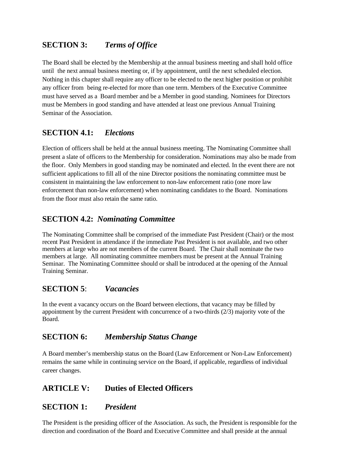# **SECTION 3:** *Terms of Office*

The Board shall be elected by the Membership at the annual business meeting and shall hold office until the next annual business meeting or, if by appointment, until the next scheduled election. Nothing in this chapter shall require any officer to be elected to the next higher position or prohibit any officer from being re-elected for more than one term. Members of the Executive Committee must have served as a Board member and be a Member in good standing. Nominees for Directors must be Members in good standing and have attended at least one previous Annual Training Seminar of the Association.

#### **SECTION 4.1:** *Elections*

Election of officers shall be held at the annual business meeting. The Nominating Committee shall present a slate of officers to the Membership for consideration. Nominations may also be made from the floor. Only Members in good standing may be nominated and elected. In the event there are not sufficient applications to fill all of the nine Director positions the nominating committee must be consistent in maintaining the law enforcement to non-law enforcement ratio (one more law enforcement than non-law enforcement) when nominating candidates to the Board. Nominations from the floor must also retain the same ratio.

#### **SECTION 4.2:** *Nominating Committee*

The Nominating Committee shall be comprised of the immediate Past President (Chair) or the most recent Past President in attendance if the immediate Past President is not available, and two other members at large who are not members of the current Board. The Chair shall nominate the two members at large. All nominating committee members must be present at the Annual Training Seminar. The Nominating Committee should or shall be introduced at the opening of the Annual Training Seminar.

#### **SECTION 5**: *Vacancies*

In the event a vacancy occurs on the Board between elections, that vacancy may be filled by appointment by the current President with concurrence of a two-thirds (2/3) majority vote of the Board.

#### **SECTION 6:** *Membership Status Change*

A Board member's membership status on the Board (Law Enforcement or Non-Law Enforcement) remains the same while in continuing service on the Board, if applicable, regardless of individual career changes.

# **ARTICLE V: Duties of Elected Officers**

#### **SECTION 1:** *President*

The President is the presiding officer of the Association. As such, the President is responsible for the direction and coordination of the Board and Executive Committee and shall preside at the annual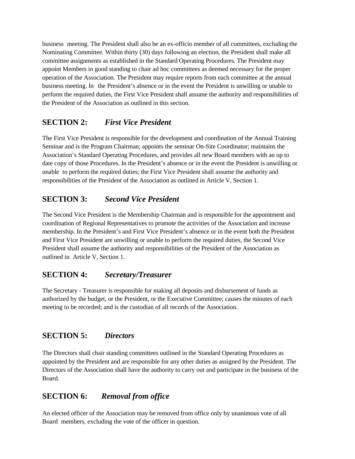business meeting. The President shall also be an ex-officio member of all committees, excluding the Nominating Committee. Within thirty (30) days following an election, the President shall make all committee assignments as established in the Standard Operating Procedures. The President may appoint Members in good standing to chair ad hoc committees as deemed necessary for the proper operation of the Association. The President may require reports from each committee at the annual business meeting. In the President's absence or in the event the President is unwilling or unable to perform the required duties, the First Vice President shall assume the authority and responsibilities of the President of the Association as outlined in this section.

# **SECTION 2:** *First Vice President*

The First Vice President is responsible for the development and coordination of the Annual Training Seminar and is the Program Chairman; appoints the seminar On-Site Coordinator; maintains the Association's Standard Operating Procedures, and provides all new Board members with an up to date copy of those Procedures. In the President's absence or in the event the President is unwilling or unable to perform the required duties; the First Vice President shall assume the authority and responsibilities of the President of the Association as outlined in Article V, Section 1.

# **SECTION 3:** *Second Vice President*

The Second Vice President is the Membership Chairman and is responsible for the appointment and coordination of Regional Representatives to promote the activities of the Association and increase membership. In the President's and First Vice President's absence or in the event both the President and First Vice President are unwilling or unable to perform the required duties, the Second Vice President shall assume the authority and responsibilities of the President of the Association as outlined in Article V, Section 1.

# **SECTION 4:** *Secretary/Treasurer*

The Secretary - Treasurer is responsible for making all deposits and disbursement of funds as authorized by the budget, or the President, or the Executive Committee; causes the minutes of each meeting to be recorded; and is the custodian of all records of the Association.

# **SECTION 5:** *Directors*

The Directors shall chair standing committees outlined in the Standard Operating Procedures as appointed by the President and are responsible for any other duties as assigned by the President. The Directors of the Association shall have the authority to carry out and participate in the business of the Board.

# **SECTION 6:** *Removal from office*

An elected officer of the Association may be removed from office only by unanimous vote of all Board members, excluding the vote of the officer in question.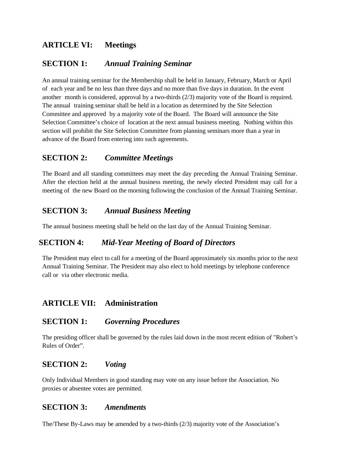# **ARTICLE VI: Meetings**

# **SECTION 1:** *Annual Training Seminar*

An annual training seminar for the Membership shall be held in January, February, March or April of each year and be no less than three days and no more than five days in duration. In the event another month is considered, approval by a two-thirds  $(2/3)$  majority vote of the Board is required. The annual training seminar shall be held in a location as determined by the Site Selection Committee and approved by a majority vote of the Board. The Board will announce the Site Selection Committee's choice of location at the next annual business meeting. Nothing within this section will prohibit the Site Selection Committee from planning seminars more than a year in advance of the Board from entering into such agreements.

#### **SECTION 2:** *Committee Meetings*

The Board and all standing committees may meet the day preceding the Annual Training Seminar. After the election held at the annual business meeting, the newly elected President may call for a meeting of the new Board on the morning following the conclusion of the Annual Training Seminar.

#### **SECTION 3:** *Annual Business Meeting*

The annual business meeting shall be held on the last day of the Annual Training Seminar.

#### **SECTION 4:** *Mid-Year Meeting of Board of Directors*

The President may elect to call for a meeting of the Board approximately six months prior to the next Annual Training Seminar. The President may also elect to hold meetings by telephone conference call or via other electronic media.

#### **ARTICLE VII: Administration**

#### **SECTION 1:** *Governing Procedures*

The presiding officer shall be governed by the rules laid down in the most recent edition of "Robert's Rules of Order".

#### **SECTION 2:** *Voting*

Only Individual Members in good standing may vote on any issue before the Association. No proxies or absentee votes are permitted.

#### **SECTION 3:** *Amendments*

The/These By-Laws may be amended by a two-thirds (2/3) majority vote of the Association's